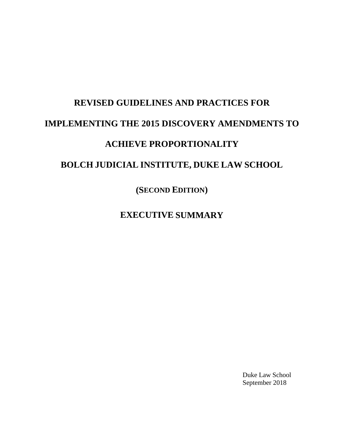## **REVISED GUIDELINES AND PRACTICES FOR IMPLEMENTING THE 2015 DISCOVERY AMENDMENTS TO ACHIEVE PROPORTIONALITY BOLCH JUDICIAL INSTITUTE, DUKE LAW SCHOOL**

**(SECOND EDITION)**

**EXECUTIVE SUMMARY**

Duke Law School September 2018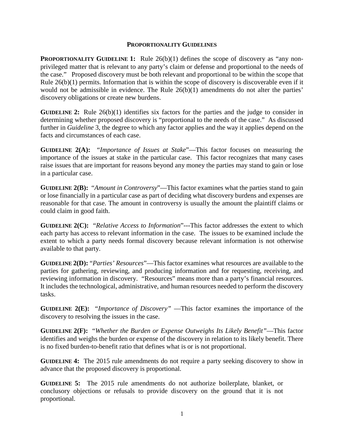## **PROPORTIONALITY GUIDELINES**

**PROPORTIONALITY GUIDELINE 1:** Rule 26(b)(1) defines the scope of discovery as "any nonprivileged matter that is relevant to any party's claim or defense and proportional to the needs of the case." Proposed discovery must be both relevant and proportional to be within the scope that Rule 26(b)(1) permits. Information that is within the scope of discovery is discoverable even if it would not be admissible in evidence. The Rule  $26(b)(1)$  amendments do not alter the parties' discovery obligations or create new burdens.

**GUIDELINE 2:** Rule 26(b)(1) identifies six factors for the parties and the judge to consider in determining whether proposed discovery is "proportional to the needs of the case." As discussed further in *Guideline* 3, the degree to which any factor applies and the way it applies depend on the facts and circumstances of each case.

**GUIDELINE 2(A):** "*Importance of Issues at Stake*"—This factor focuses on measuring the importance of the issues at stake in the particular case. This factor recognizes that many cases raise issues that are important for reasons beyond any money the parties may stand to gain or lose in a particular case.

**GUIDELINE 2(B):** "*Amount in Controversy*"—This factor examines what the parties stand to gain or lose financially in a particular case as part of deciding what discovery burdens and expenses are reasonable for that case. The amount in controversy is usually the amount the plaintiff claims or could claim in good faith.

**GUIDELINE 2(C):** "*Relative Access to Information*"---This factor addresses the extent to which each party has access to relevant information in the case. The issues to be examined include the extent to which a party needs formal discovery because relevant information is not otherwise available to that party.

**GUIDELINE 2(D):** "*Parties' Resources*"—This factor examines what resources are available to the parties for gathering, reviewing, and producing information and for requesting, receiving, and reviewing information in discovery. "Resources" means more than a party's financial resources. It includes the technological, administrative, and human resources needed to perform the discovery tasks.

**GUIDELINE 2(E):** "*Importance of Discovery"* —This factor examines the importance of the discovery to resolving the issues in the case.

**GUIDELINE 2(F):** "*Whether the Burden or Expense Outweighs Its Likely Benefit"*—This factor identifies and weighs the burden or expense of the discovery in relation to its likely benefit. There is no fixed burden-to-benefit ratio that defines what is or is not proportional.

**GUIDELINE 4:** The 2015 rule amendments do not require a party seeking discovery to show in advance that the proposed discovery is proportional.

**GUIDELINE 5:** The 2015 rule amendments do not authorize boilerplate, blanket, or conclusory objections or refusals to provide discovery on the ground that it is not proportional.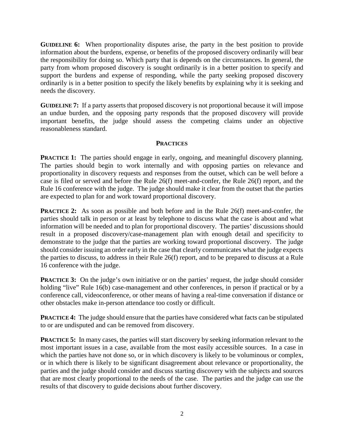**GUIDELINE 6:** When proportionality disputes arise, the party in the best position to provide information about the burdens, expense, or benefits of the proposed discovery ordinarily will bear the responsibility for doing so. Which party that is depends on the circumstances. In general, the party from whom proposed discovery is sought ordinarily is in a better position to specify and support the burdens and expense of responding, while the party seeking proposed discovery ordinarily is in a better position to specify the likely benefits by explaining why it is seeking and needs the discovery.

**GUIDELINE 7:** If a party asserts that proposed discovery is not proportional because it will impose an undue burden, and the opposing party responds that the proposed discovery will provide important benefits, the judge should assess the competing claims under an objective reasonableness standard.

## **PRACTICES**

**PRACTICE 1:** The parties should engage in early, ongoing, and meaningful discovery planning. The parties should begin to work internally and with opposing parties on relevance and proportionality in discovery requests and responses from the outset, which can be well before a case is filed or served and before the Rule 26(f) meet-and-confer, the Rule 26(f) report, and the Rule 16 conference with the judge. The judge should make it clear from the outset that the parties are expected to plan for and work toward proportional discovery.

**PRACTICE 2:** As soon as possible and both before and in the Rule 26(f) meet-and-confer, the parties should talk in person or at least by telephone to discuss what the case is about and what information will be needed and to plan for proportional discovery. The parties' discussions should result in a proposed discovery/case-management plan with enough detail and specificity to demonstrate to the judge that the parties are working toward proportional discovery. The judge should consider issuing an order early in the case that clearly communicates what the judge expects the parties to discuss, to address in their Rule 26(f) report, and to be prepared to discuss at a Rule 16 conference with the judge.

**PRACTICE 3:** On the judge's own initiative or on the parties' request, the judge should consider holding "live" Rule 16(b) case-management and other conferences, in person if practical or by a conference call, videoconference, or other means of having a real-time conversation if distance or other obstacles make in-person attendance too costly or difficult.

**PRACTICE 4:** The judge should ensure that the parties have considered what facts can be stipulated to or are undisputed and can be removed from discovery.

**PRACTICE 5:** In many cases, the parties will start discovery by seeking information relevant to the most important issues in a case, available from the most easily accessible sources. In a case in which the parties have not done so, or in which discovery is likely to be voluminous or complex, or in which there is likely to be significant disagreement about relevance or proportionality, the parties and the judge should consider and discuss starting discovery with the subjects and sources that are most clearly proportional to the needs of the case. The parties and the judge can use the results of that discovery to guide decisions about further discovery.